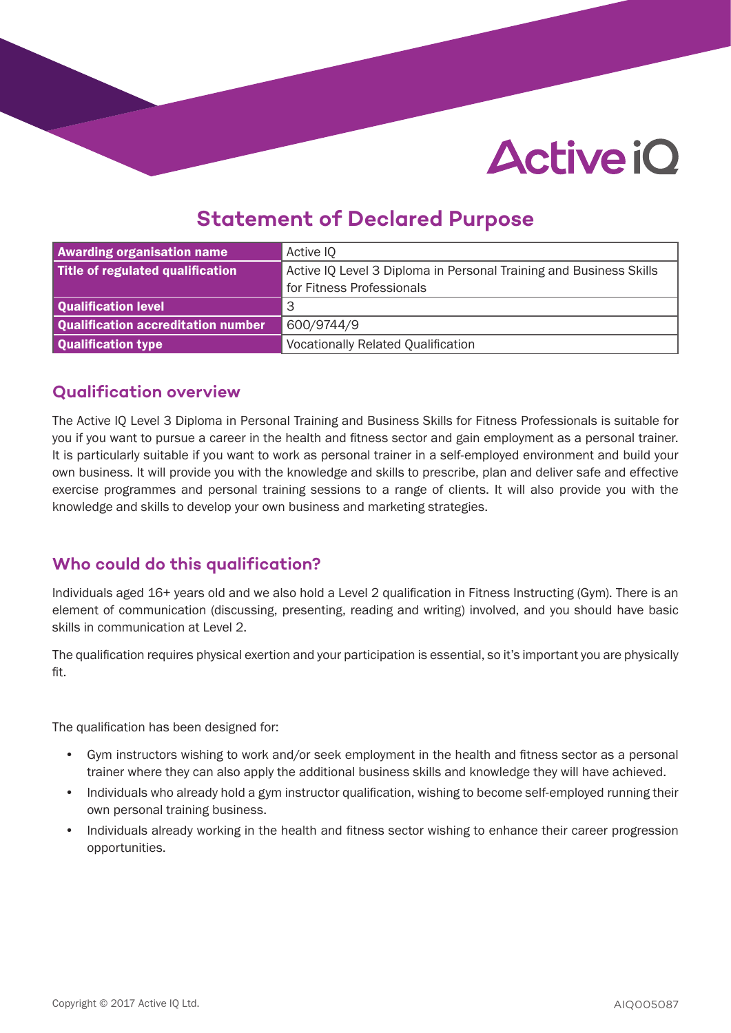### **Statement of Declared Purpose**

| <b>Awarding organisation name</b>  | Active IQ                                                          |  |
|------------------------------------|--------------------------------------------------------------------|--|
| Title of regulated qualification   | Active IQ Level 3 Diploma in Personal Training and Business Skills |  |
|                                    | for Fitness Professionals                                          |  |
| Qualification level                | 3                                                                  |  |
| Qualification accreditation number | 600/9744/9                                                         |  |
| Qualification type                 | <b>Vocationally Related Qualification</b>                          |  |

#### **Qualification overview**

The Active IQ Level 3 Diploma in Personal Training and Business Skills for Fitness Professionals is suitable for you if you want to pursue a career in the health and fitness sector and gain employment as a personal trainer. It is particularly suitable if you want to work as personal trainer in a self-employed environment and build your own business. It will provide you with the knowledge and skills to prescribe, plan and deliver safe and effective exercise programmes and personal training sessions to a range of clients. It will also provide you with the knowledge and skills to develop your own business and marketing strategies.

### **Who could do this qualification?**

Individuals aged 16+ years old and we also hold a Level 2 qualification in Fitness Instructing (Gym). There is an element of communication (discussing, presenting, reading and writing) involved, and you should have basic skills in communication at Level 2.

The qualification requires physical exertion and your participation is essential, so it's important you are physically fit.

The qualification has been designed for:

- Gym instructors wishing to work and/or seek employment in the health and fitness sector as a personal trainer where they can also apply the additional business skills and knowledge they will have achieved.
- Individuals who already hold a gym instructor qualification, wishing to become self-employed running their own personal training business.
- Individuals already working in the health and fitness sector wishing to enhance their career progression opportunities.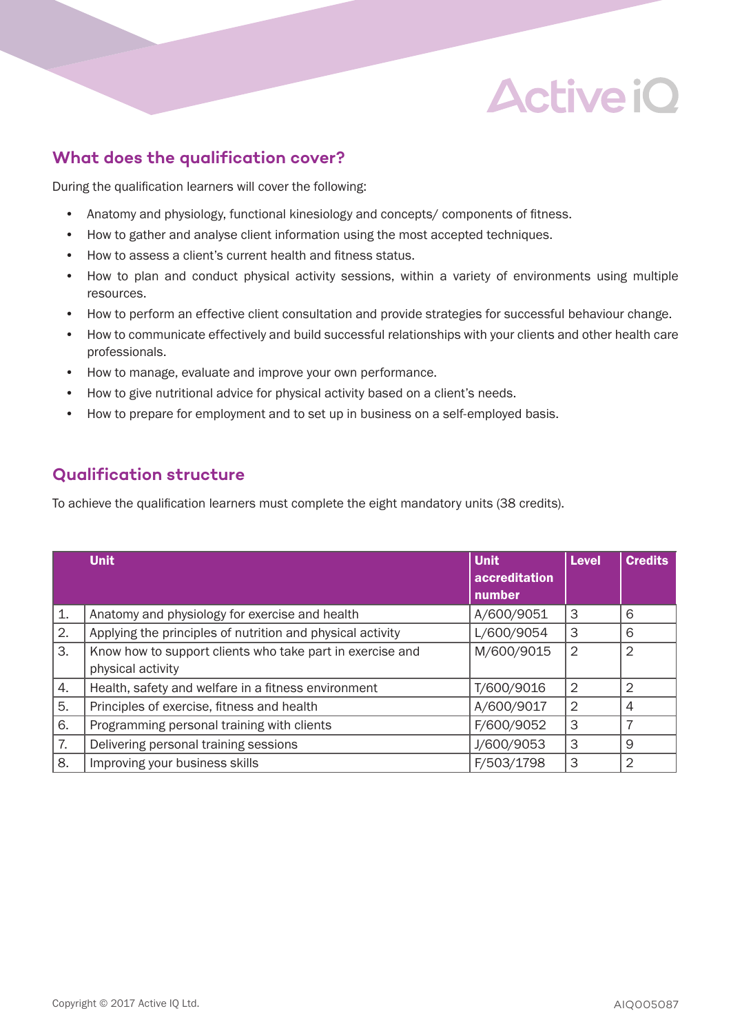### **What does the qualification cover?**

During the qualification learners will cover the following:

- Anatomy and physiology, functional kinesiology and concepts/ components of fitness.
- How to gather and analyse client information using the most accepted techniques.
- How to assess a client's current health and fitness status.
- How to plan and conduct physical activity sessions, within a variety of environments using multiple resources.
- How to perform an effective client consultation and provide strategies for successful behaviour change.
- How to communicate effectively and build successful relationships with your clients and other health care professionals.
- How to manage, evaluate and improve your own performance.
- How to give nutritional advice for physical activity based on a client's needs.
- How to prepare for employment and to set up in business on a self-employed basis.

### **Qualification structure**

To achieve the qualification learners must complete the eight mandatory units (38 credits).

|    | <b>Unit</b>                                                                    | <b>Unit</b><br>accreditation<br>number | <b>Level</b>   | <b>Credits</b> |
|----|--------------------------------------------------------------------------------|----------------------------------------|----------------|----------------|
| 1. | Anatomy and physiology for exercise and health                                 | A/600/9051                             | 3              | 6              |
| 2. | Applying the principles of nutrition and physical activity                     | L/600/9054                             | 3              | 6              |
| 3. | Know how to support clients who take part in exercise and<br>physical activity | M/600/9015                             | $\overline{2}$ | 2              |
| 4. | Health, safety and welfare in a fitness environment                            | T/600/9016                             | $\overline{2}$ | $\overline{2}$ |
| 5. | Principles of exercise, fitness and health                                     | A/600/9017                             | $\overline{2}$ | 4              |
| 6. | Programming personal training with clients                                     | F/600/9052                             | 3              |                |
| 7. | Delivering personal training sessions                                          | J/600/9053                             | 3              | 9              |
| 8. | Improving your business skills                                                 | F/503/1798                             | 3              | 2              |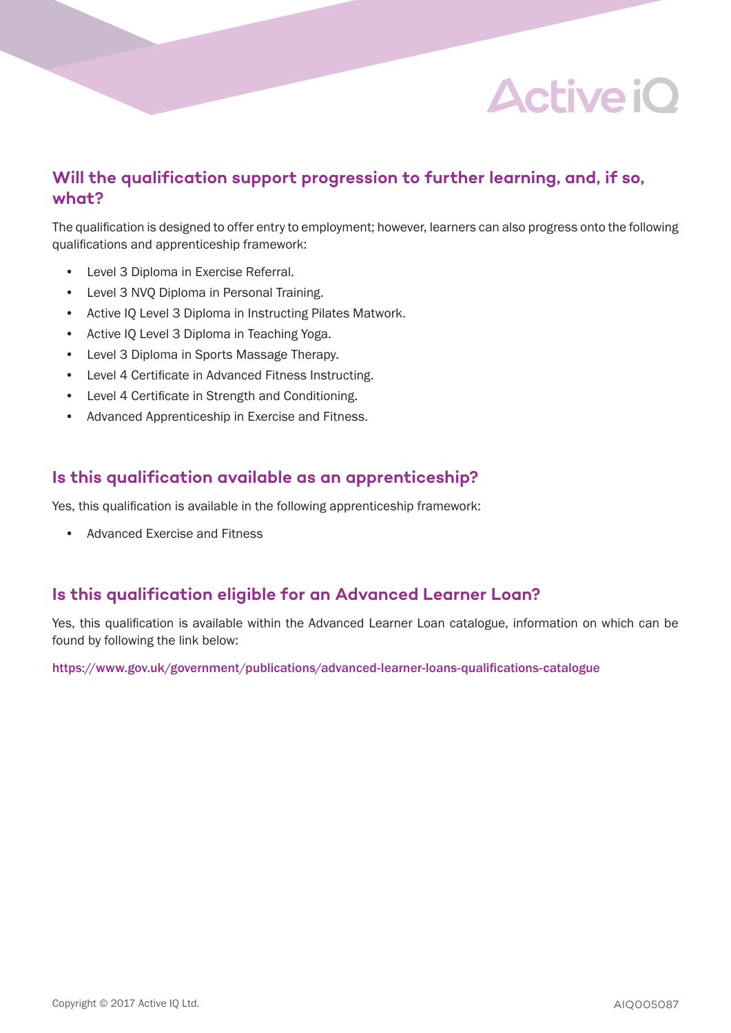### **Will the qualification support progression to further learning, and, if so, what?**

The qualification is designed to offer entry to employment; however, learners can also progress onto the following qualifications and apprenticeship framework:

- Level 3 Diploma in Exercise Referral.
- Level 3 NVQ Diploma in Personal Training.
- Active IQ Level 3 Diploma in Instructing Pilates Matwork.
- Active IQ Level 3 Diploma in Teaching Yoga.
- Level 3 Diploma in Sports Massage Therapy.
- Level 4 Certificate in Advanced Fitness Instructing.
- Level 4 Certificate in Strength and Conditioning.
- Advanced Apprenticeship in Exercise and Fitness.

#### **Is this qualification available as an apprenticeship?**

Yes, this qualification is available in the following apprenticeship framework:

• Advanced Exercise and Fitness

### **Is this qualification eligible for an Advanced Learner Loan?**

Yes, this qualification is available within the Advanced Learner Loan catalogue, information on which can be found by following the link below:

https://www.gov.uk/government/publications/advanced-learner-loans-qualifications-catalogue